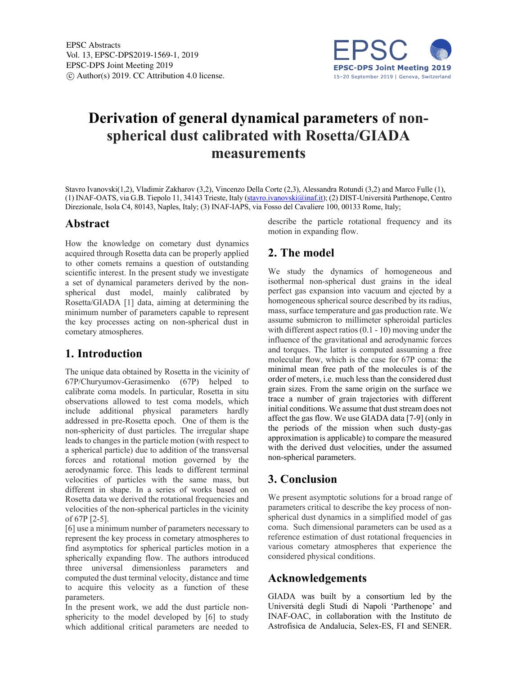

# **Derivation of general dynamical parameters of nonspherical dust calibrated with Rosetta/GIADA measurements**

Stavro Ivanovski(1,2), Vladimir Zakharov (3,2), Vincenzo Della Corte (2,3), Alessandra Rotundi (3,2) and Marco Fulle (1), (1) INAF-OATS, via G.B. Tiepolo 11, 34143 Trieste, Italy (stavro.ivanovski@inaf.it); (2) DIST-Università Parthenope, Centro Direzionale, Isola C4, 80143, Naples, Italy; (3) INAF-IAPS, via Fosso del Cavaliere 100, 00133 Rome, Italy;

#### **Abstract**

How the knowledge on cometary dust dynamics acquired through Rosetta data can be properly applied to other comets remains a question of outstanding scientific interest. In the present study we investigate a set of dynamical parameters derived by the nonspherical dust model, mainly calibrated by Rosetta/GIADA [1] data, aiming at determining the minimum number of parameters capable to represent the key processes acting on non-spherical dust in cometary atmospheres.

### **1. Introduction**

The unique data obtained by Rosetta in the vicinity of 67P/Churyumov-Gerasimenko (67P) helped to calibrate coma models. In particular, Rosetta in situ observations allowed to test coma models, which include additional physical parameters hardly addressed in pre-Rosetta epoch. One of them is the non-sphericity of dust particles. The irregular shape leads to changes in the particle motion (with respect to a spherical particle) due to addition of the transversal forces and rotational motion governed by the aerodynamic force. This leads to different terminal velocities of particles with the same mass, but different in shape. In a series of works based on Rosetta data we derived the rotational frequencies and velocities of the non-spherical particles in the vicinity of 67P [2-5].

[6] use a minimum number of parameters necessary to represent the key process in cometary atmospheres to find asymptotics for spherical particles motion in a spherically expanding flow. The authors introduced three universal dimensionless parameters and computed the dust terminal velocity, distance and time to acquire this velocity as a function of these parameters.

In the present work, we add the dust particle nonsphericity to the model developed by [6] to study which additional critical parameters are needed to describe the particle rotational frequency and its motion in expanding flow.

### **2. The model**

We study the dynamics of homogeneous and isothermal non-spherical dust grains in the ideal perfect gas expansion into vacuum and ejected by a homogeneous spherical source described by its radius, mass, surface temperature and gas production rate. We assume submicron to millimeter spheroidal particles with different aspect ratios (0.1 - 10) moving under the influence of the gravitational and aerodynamic forces and torques. The latter is computed assuming a free molecular flow, which is the case for 67P coma: the minimal mean free path of the molecules is of the order of meters, i.e. much less than the considered dust grain sizes. From the same origin on the surface we trace a number of grain trajectories with different initial conditions. We assume that dust stream does not affect the gas flow. We use GIADA data [7-9] (only in the periods of the mission when such dusty-gas approximation is applicable) to compare the measured with the derived dust velocities, under the assumed non-spherical parameters.

### **3. Conclusion**

We present asymptotic solutions for a broad range of parameters critical to describe the key process of nonspherical dust dynamics in a simplified model of gas coma. Such dimensional parameters can be used as a reference estimation of dust rotational frequencies in various cometary atmospheres that experience the considered physical conditions.

### **Acknowledgements**

GIADA was built by a consortium led by the Universitá degli Studi di Napoli 'Parthenope' and INAF-OAC, in collaboration with the Instituto de Astrofisica de Andalucia, Selex-ES, FI and SENER.